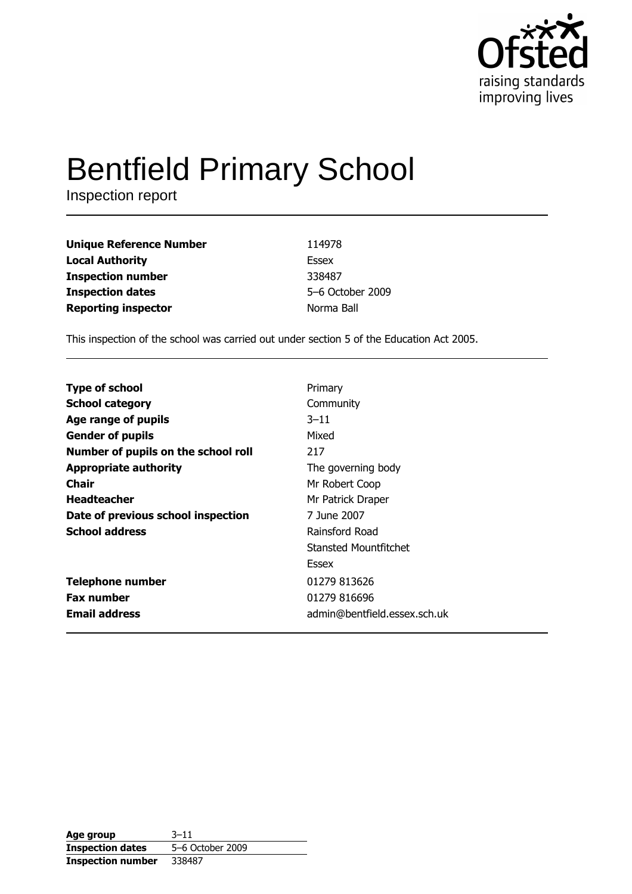

# **Bentfield Primary School**

Inspection report

| <b>Unique Reference Number</b> | 114978           |
|--------------------------------|------------------|
| <b>Local Authority</b>         | Essex            |
| <b>Inspection number</b>       | 338487           |
| <b>Inspection dates</b>        | 5-6 October 2009 |
| <b>Reporting inspector</b>     | Norma Ball       |

This inspection of the school was carried out under section 5 of the Education Act 2005.

| Primary                      |
|------------------------------|
| Community                    |
| $3 - 11$                     |
| Mixed                        |
| 217                          |
| The governing body           |
| Mr Robert Coop               |
| Mr Patrick Draper            |
| 7 June 2007                  |
| Rainsford Road               |
| Stansted Mountfitchet        |
| Essex                        |
| 01279 813626                 |
| 01279 816696                 |
| admin@bentfield.essex.sch.uk |
|                              |

| Age group                | $3 - 11$         |
|--------------------------|------------------|
| <b>Inspection dates</b>  | 5-6 October 2009 |
| <b>Inspection number</b> | 338487           |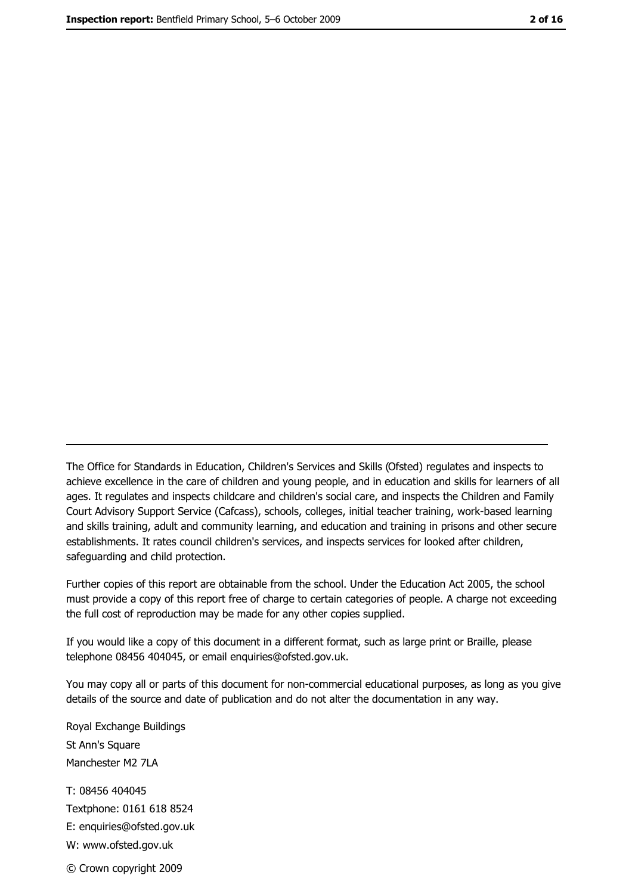The Office for Standards in Education, Children's Services and Skills (Ofsted) regulates and inspects to achieve excellence in the care of children and young people, and in education and skills for learners of all ages. It regulates and inspects childcare and children's social care, and inspects the Children and Family Court Advisory Support Service (Cafcass), schools, colleges, initial teacher training, work-based learning and skills training, adult and community learning, and education and training in prisons and other secure establishments. It rates council children's services, and inspects services for looked after children, safequarding and child protection.

Further copies of this report are obtainable from the school. Under the Education Act 2005, the school must provide a copy of this report free of charge to certain categories of people. A charge not exceeding the full cost of reproduction may be made for any other copies supplied.

If you would like a copy of this document in a different format, such as large print or Braille, please telephone 08456 404045, or email enquiries@ofsted.gov.uk.

You may copy all or parts of this document for non-commercial educational purposes, as long as you give details of the source and date of publication and do not alter the documentation in any way.

Royal Exchange Buildings St Ann's Square Manchester M2 7LA T: 08456 404045 Textphone: 0161 618 8524 E: enquiries@ofsted.gov.uk W: www.ofsted.gov.uk © Crown copyright 2009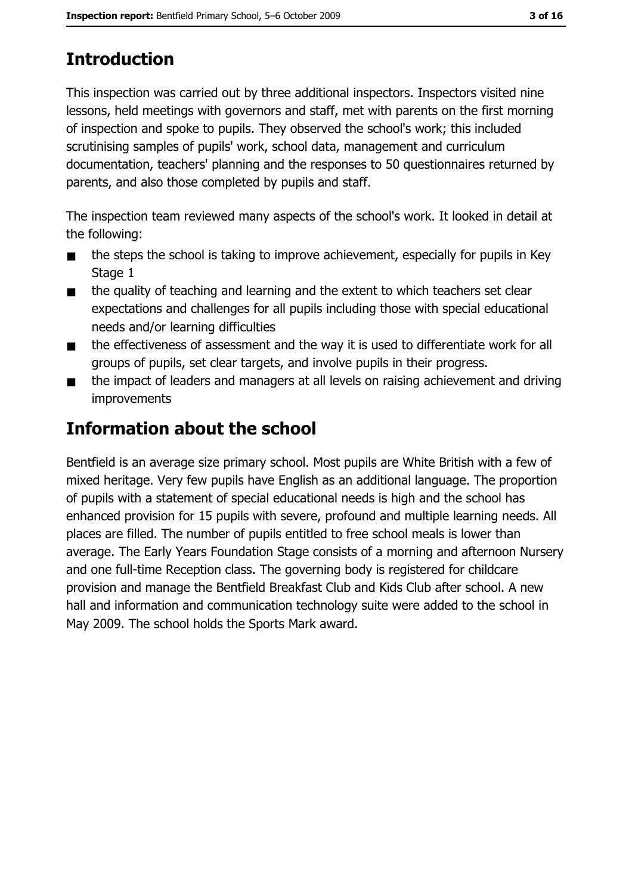# **Introduction**

This inspection was carried out by three additional inspectors. Inspectors visited nine lessons, held meetings with governors and staff, met with parents on the first morning of inspection and spoke to pupils. They observed the school's work; this included scrutinising samples of pupils' work, school data, management and curriculum documentation, teachers' planning and the responses to 50 questionnaires returned by parents, and also those completed by pupils and staff.

The inspection team reviewed many aspects of the school's work. It looked in detail at the following:

- the steps the school is taking to improve achievement, especially for pupils in Key  $\blacksquare$ Stage 1
- the quality of teaching and learning and the extent to which teachers set clear  $\blacksquare$ expectations and challenges for all pupils including those with special educational needs and/or learning difficulties
- the effectiveness of assessment and the way it is used to differentiate work for all  $\blacksquare$ groups of pupils, set clear targets, and involve pupils in their progress.
- the impact of leaders and managers at all levels on raising achievement and driving  $\blacksquare$ improvements

# **Information about the school**

Bentfield is an average size primary school. Most pupils are White British with a few of mixed heritage. Very few pupils have English as an additional language. The proportion of pupils with a statement of special educational needs is high and the school has enhanced provision for 15 pupils with severe, profound and multiple learning needs. All places are filled. The number of pupils entitled to free school meals is lower than average. The Early Years Foundation Stage consists of a morning and afternoon Nursery and one full-time Reception class. The governing body is registered for childcare provision and manage the Bentfield Breakfast Club and Kids Club after school. A new hall and information and communication technology suite were added to the school in May 2009. The school holds the Sports Mark award.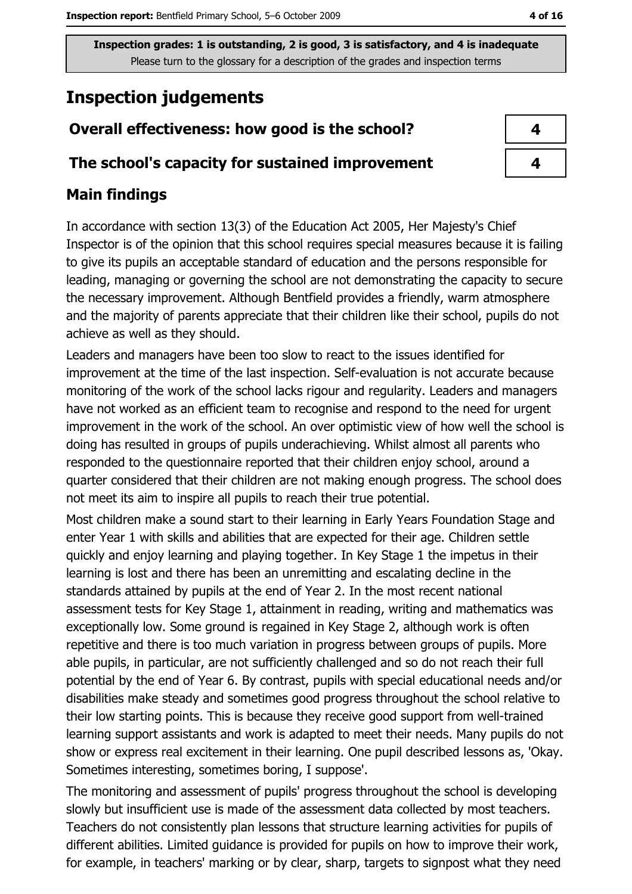# **Inspection judgements**

# Overall effectiveness: how good is the school?

## The school's capacity for sustained improvement

## **Main findings**

In accordance with section 13(3) of the Education Act 2005, Her Majesty's Chief Inspector is of the opinion that this school requires special measures because it is failing to give its pupils an acceptable standard of education and the persons responsible for leading, managing or governing the school are not demonstrating the capacity to secure the necessary improvement. Although Bentfield provides a friendly, warm atmosphere and the majority of parents appreciate that their children like their school, pupils do not achieve as well as they should.

Leaders and managers have been too slow to react to the issues identified for improvement at the time of the last inspection. Self-evaluation is not accurate because monitoring of the work of the school lacks rigour and regularity. Leaders and managers have not worked as an efficient team to recognise and respond to the need for urgent improvement in the work of the school. An over optimistic view of how well the school is doing has resulted in groups of pupils underachieving. Whilst almost all parents who responded to the questionnaire reported that their children enjoy school, around a quarter considered that their children are not making enough progress. The school does not meet its aim to inspire all pupils to reach their true potential.

Most children make a sound start to their learning in Early Years Foundation Stage and enter Year 1 with skills and abilities that are expected for their age. Children settle quickly and enjoy learning and playing together. In Key Stage 1 the impetus in their learning is lost and there has been an unremitting and escalating decline in the standards attained by pupils at the end of Year 2. In the most recent national assessment tests for Key Stage 1, attainment in reading, writing and mathematics was exceptionally low. Some ground is regained in Key Stage 2, although work is often repetitive and there is too much variation in progress between groups of pupils. More able pupils, in particular, are not sufficiently challenged and so do not reach their full potential by the end of Year 6. By contrast, pupils with special educational needs and/or disabilities make steady and sometimes good progress throughout the school relative to their low starting points. This is because they receive good support from well-trained learning support assistants and work is adapted to meet their needs. Many pupils do not show or express real excitement in their learning. One pupil described lessons as, 'Okay. Sometimes interesting, sometimes boring, I suppose'.

The monitoring and assessment of pupils' progress throughout the school is developing slowly but insufficient use is made of the assessment data collected by most teachers. Teachers do not consistently plan lessons that structure learning activities for pupils of different abilities. Limited guidance is provided for pupils on how to improve their work, for example, in teachers' marking or by clear, sharp, targets to signpost what they need

4

4

4 of 16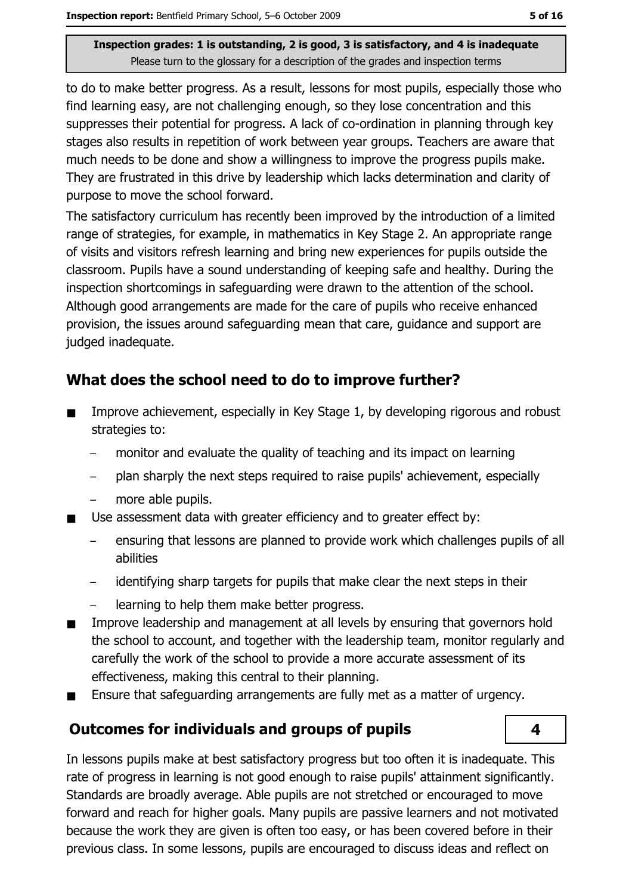to do to make better progress. As a result, lessons for most pupils, especially those who find learning easy, are not challenging enough, so they lose concentration and this suppresses their potential for progress. A lack of co-ordination in planning through key stages also results in repetition of work between year groups. Teachers are aware that much needs to be done and show a willingness to improve the progress pupils make. They are frustrated in this drive by leadership which lacks determination and clarity of purpose to move the school forward.

The satisfactory curriculum has recently been improved by the introduction of a limited range of strategies, for example, in mathematics in Key Stage 2. An appropriate range of visits and visitors refresh learning and bring new experiences for pupils outside the classroom. Pupils have a sound understanding of keeping safe and healthy. During the inspection shortcomings in safeguarding were drawn to the attention of the school. Although good arrangements are made for the care of pupils who receive enhanced provision, the issues around safeguarding mean that care, guidance and support are judged inadequate.

## What does the school need to do to improve further?

- Improve achievement, especially in Key Stage 1, by developing rigorous and robust  $\blacksquare$ strategies to:
	- monitor and evaluate the quality of teaching and its impact on learning
	- plan sharply the next steps required to raise pupils' achievement, especially
	- more able pupils.
- Use assessment data with greater efficiency and to greater effect by:  $\blacksquare$ 
	- ensuring that lessons are planned to provide work which challenges pupils of all abilities
	- identifying sharp targets for pupils that make clear the next steps in their
	- learning to help them make better progress.
- Improve leadership and management at all levels by ensuring that governors hold  $\blacksquare$ the school to account, and together with the leadership team, monitor regularly and carefully the work of the school to provide a more accurate assessment of its effectiveness, making this central to their planning.
- Ensure that safeguarding arrangements are fully met as a matter of urgency.  $\blacksquare$

## Outcomes for individuals and groups of pupils

In lessons pupils make at best satisfactory progress but too often it is inadequate. This rate of progress in learning is not good enough to raise pupils' attainment significantly. Standards are broadly average. Able pupils are not stretched or encouraged to move forward and reach for higher goals. Many pupils are passive learners and not motivated because the work they are given is often too easy, or has been covered before in their previous class. In some lessons, pupils are encouraged to discuss ideas and reflect on

4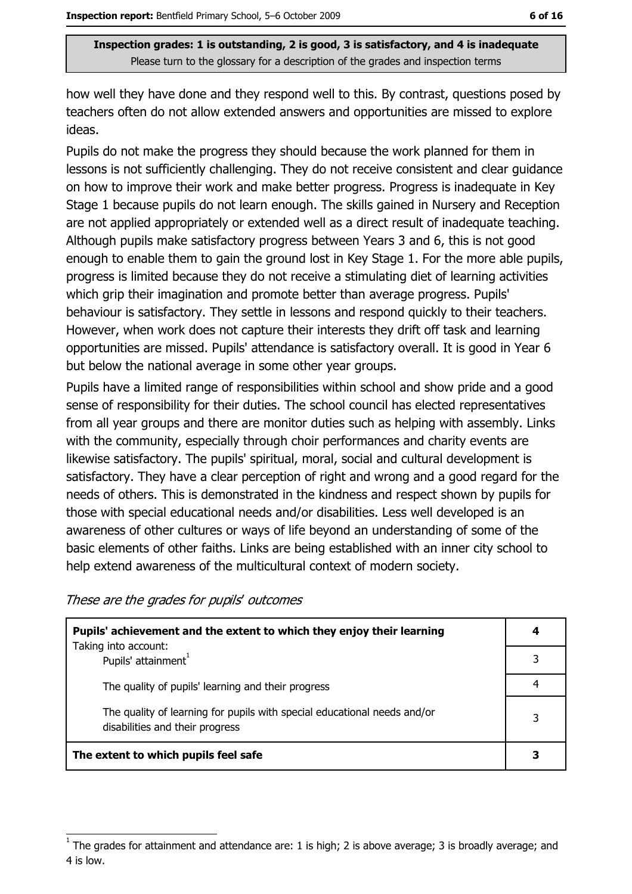how well they have done and they respond well to this. By contrast, questions posed by teachers often do not allow extended answers and opportunities are missed to explore ideas.

Pupils do not make the progress they should because the work planned for them in lessons is not sufficiently challenging. They do not receive consistent and clear guidance on how to improve their work and make better progress. Progress is inadequate in Key Stage 1 because pupils do not learn enough. The skills gained in Nursery and Reception are not applied appropriately or extended well as a direct result of inadequate teaching. Although pupils make satisfactory progress between Years 3 and 6, this is not good enough to enable them to gain the ground lost in Key Stage 1. For the more able pupils, progress is limited because they do not receive a stimulating diet of learning activities which grip their imagination and promote better than average progress. Pupils' behaviour is satisfactory. They settle in lessons and respond quickly to their teachers. However, when work does not capture their interests they drift off task and learning opportunities are missed. Pupils' attendance is satisfactory overall. It is good in Year 6 but below the national average in some other year groups.

Pupils have a limited range of responsibilities within school and show pride and a good sense of responsibility for their duties. The school council has elected representatives from all year groups and there are monitor duties such as helping with assembly. Links with the community, especially through choir performances and charity events are likewise satisfactory. The pupils' spiritual, moral, social and cultural development is satisfactory. They have a clear perception of right and wrong and a good regard for the needs of others. This is demonstrated in the kindness and respect shown by pupils for those with special educational needs and/or disabilities. Less well developed is an awareness of other cultures or ways of life beyond an understanding of some of the basic elements of other faiths. Links are being established with an inner city school to help extend awareness of the multicultural context of modern society.

These are the grades for pupils' outcomes

| Pupils' achievement and the extent to which they enjoy their learning<br>Taking into account:               | 4 |
|-------------------------------------------------------------------------------------------------------------|---|
| Pupils' attainment <sup>1</sup>                                                                             |   |
| The quality of pupils' learning and their progress                                                          |   |
| The quality of learning for pupils with special educational needs and/or<br>disabilities and their progress | 3 |
| The extent to which pupils feel safe                                                                        |   |

The grades for attainment and attendance are: 1 is high; 2 is above average; 3 is broadly average; and 4 is low.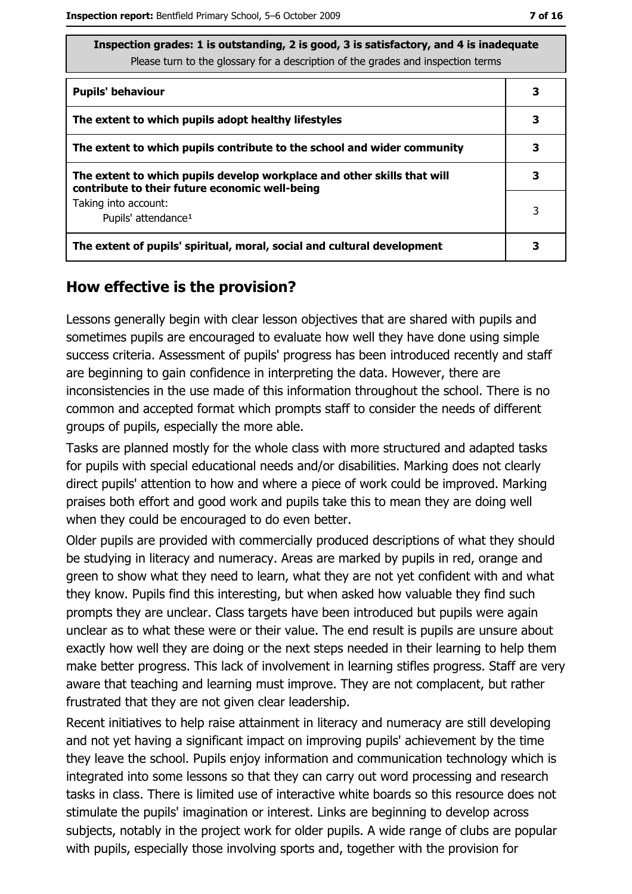|--|--|

| <b>Pupils' behaviour</b>                                                                                                  | 3 |
|---------------------------------------------------------------------------------------------------------------------------|---|
| The extent to which pupils adopt healthy lifestyles                                                                       | з |
| The extent to which pupils contribute to the school and wider community                                                   |   |
| The extent to which pupils develop workplace and other skills that will<br>contribute to their future economic well-being |   |
| Taking into account:<br>Pupils' attendance <sup>1</sup>                                                                   | 3 |
| The extent of pupils' spiritual, moral, social and cultural development                                                   | 3 |

#### How effective is the provision?

Lessons generally begin with clear lesson objectives that are shared with pupils and sometimes pupils are encouraged to evaluate how well they have done using simple success criteria. Assessment of pupils' progress has been introduced recently and staff are beginning to gain confidence in interpreting the data. However, there are inconsistencies in the use made of this information throughout the school. There is no common and accepted format which prompts staff to consider the needs of different groups of pupils, especially the more able.

Tasks are planned mostly for the whole class with more structured and adapted tasks for pupils with special educational needs and/or disabilities. Marking does not clearly direct pupils' attention to how and where a piece of work could be improved. Marking praises both effort and good work and pupils take this to mean they are doing well when they could be encouraged to do even better.

Older pupils are provided with commercially produced descriptions of what they should be studying in literacy and numeracy. Areas are marked by pupils in red, orange and green to show what they need to learn, what they are not yet confident with and what they know. Pupils find this interesting, but when asked how valuable they find such prompts they are unclear. Class targets have been introduced but pupils were again unclear as to what these were or their value. The end result is pupils are unsure about exactly how well they are doing or the next steps needed in their learning to help them make better progress. This lack of involvement in learning stifles progress. Staff are very aware that teaching and learning must improve. They are not complacent, but rather frustrated that they are not given clear leadership.

Recent initiatives to help raise attainment in literacy and numeracy are still developing and not vet having a significant impact on improving pupils' achievement by the time they leave the school. Pupils enjoy information and communication technology which is integrated into some lessons so that they can carry out word processing and research tasks in class. There is limited use of interactive white boards so this resource does not stimulate the pupils' imagination or interest. Links are beginning to develop across subjects, notably in the project work for older pupils. A wide range of clubs are popular with pupils, especially those involving sports and, together with the provision for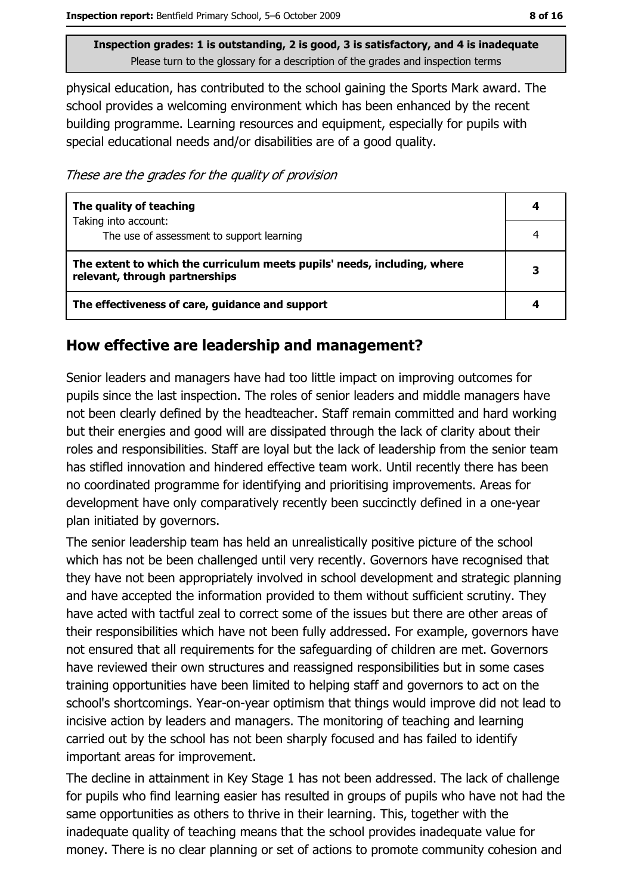physical education, has contributed to the school gaining the Sports Mark award. The school provides a welcoming environment which has been enhanced by the recent building programme. Learning resources and equipment, especially for pupils with special educational needs and/or disabilities are of a good quality.

These are the grades for the quality of provision

| The quality of teaching                                                                                    | 4 |
|------------------------------------------------------------------------------------------------------------|---|
| Taking into account:<br>The use of assessment to support learning                                          |   |
| The extent to which the curriculum meets pupils' needs, including, where<br>relevant, through partnerships | 3 |
| The effectiveness of care, guidance and support                                                            |   |

#### How effective are leadership and management?

Senior leaders and managers have had too little impact on improving outcomes for pupils since the last inspection. The roles of senior leaders and middle managers have not been clearly defined by the headteacher. Staff remain committed and hard working but their energies and good will are dissipated through the lack of clarity about their roles and responsibilities. Staff are loyal but the lack of leadership from the senior team has stifled innovation and hindered effective team work. Until recently there has been no coordinated programme for identifying and prioritising improvements. Areas for development have only comparatively recently been succinctly defined in a one-year plan initiated by governors.

The senior leadership team has held an unrealistically positive picture of the school which has not be been challenged until very recently. Governors have recognised that they have not been appropriately involved in school development and strategic planning and have accepted the information provided to them without sufficient scrutiny. They have acted with tactful zeal to correct some of the issues but there are other areas of their responsibilities which have not been fully addressed. For example, governors have not ensured that all requirements for the safeguarding of children are met. Governors have reviewed their own structures and reassigned responsibilities but in some cases training opportunities have been limited to helping staff and governors to act on the school's shortcomings. Year-on-year optimism that things would improve did not lead to incisive action by leaders and managers. The monitoring of teaching and learning carried out by the school has not been sharply focused and has failed to identify important areas for improvement.

The decline in attainment in Key Stage 1 has not been addressed. The lack of challenge for pupils who find learning easier has resulted in groups of pupils who have not had the same opportunities as others to thrive in their learning. This, together with the inadequate quality of teaching means that the school provides inadequate value for money. There is no clear planning or set of actions to promote community cohesion and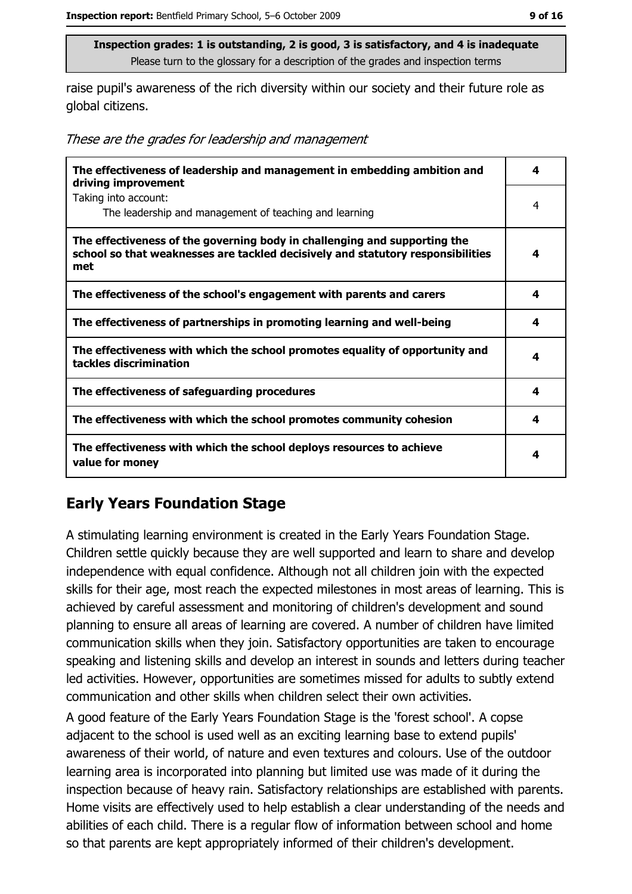raise pupil's awareness of the rich diversity within our society and their future role as global citizens.

|  |  | These are the grades for leadership and management |
|--|--|----------------------------------------------------|
|  |  |                                                    |

| The effectiveness of leadership and management in embedding ambition and<br>driving improvement                                                                     | 4 |
|---------------------------------------------------------------------------------------------------------------------------------------------------------------------|---|
| Taking into account:<br>The leadership and management of teaching and learning                                                                                      | 4 |
| The effectiveness of the governing body in challenging and supporting the<br>school so that weaknesses are tackled decisively and statutory responsibilities<br>met | 4 |
| The effectiveness of the school's engagement with parents and carers                                                                                                | 4 |
| The effectiveness of partnerships in promoting learning and well-being                                                                                              | 4 |
| The effectiveness with which the school promotes equality of opportunity and<br>tackles discrimination                                                              | 4 |
| The effectiveness of safeguarding procedures                                                                                                                        | 4 |
| The effectiveness with which the school promotes community cohesion                                                                                                 | 4 |
| The effectiveness with which the school deploys resources to achieve<br>value for money                                                                             | 4 |

#### **Early Years Foundation Stage**

A stimulating learning environment is created in the Early Years Foundation Stage. Children settle quickly because they are well supported and learn to share and develop independence with equal confidence. Although not all children join with the expected skills for their age, most reach the expected milestones in most areas of learning. This is achieved by careful assessment and monitoring of children's development and sound planning to ensure all areas of learning are covered. A number of children have limited communication skills when they join. Satisfactory opportunities are taken to encourage speaking and listening skills and develop an interest in sounds and letters during teacher led activities. However, opportunities are sometimes missed for adults to subtly extend communication and other skills when children select their own activities.

A good feature of the Early Years Foundation Stage is the 'forest school'. A copse adjacent to the school is used well as an exciting learning base to extend pupils' awareness of their world, of nature and even textures and colours. Use of the outdoor learning area is incorporated into planning but limited use was made of it during the inspection because of heavy rain. Satisfactory relationships are established with parents. Home visits are effectively used to help establish a clear understanding of the needs and abilities of each child. There is a regular flow of information between school and home so that parents are kept appropriately informed of their children's development.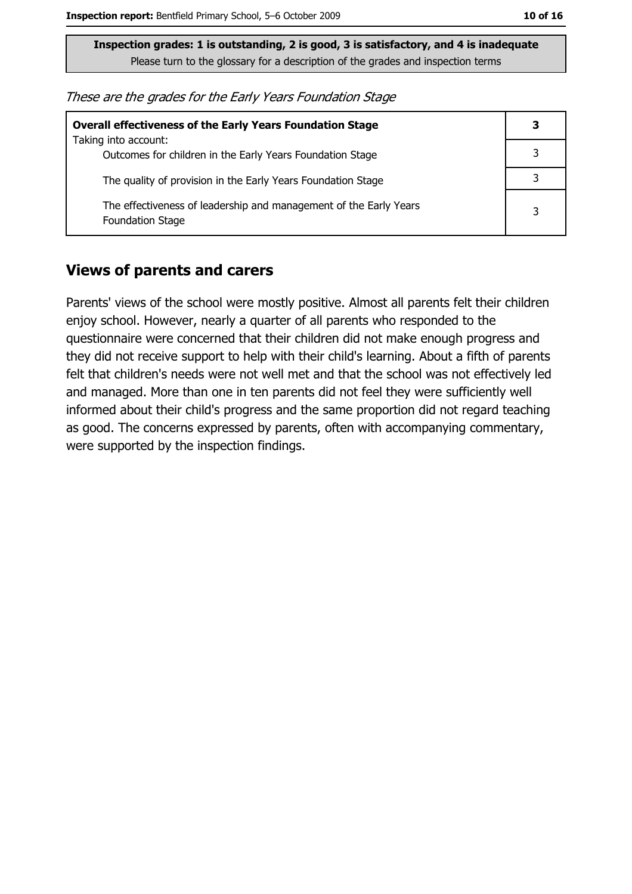These are the grades for the Early Years Foundation Stage

| <b>Overall effectiveness of the Early Years Foundation Stage</b>                             | 3 |
|----------------------------------------------------------------------------------------------|---|
| Taking into account:<br>Outcomes for children in the Early Years Foundation Stage            |   |
| The quality of provision in the Early Years Foundation Stage                                 |   |
| The effectiveness of leadership and management of the Early Years<br><b>Foundation Stage</b> | 3 |

#### **Views of parents and carers**

Parents' views of the school were mostly positive. Almost all parents felt their children enjoy school. However, nearly a quarter of all parents who responded to the questionnaire were concerned that their children did not make enough progress and they did not receive support to help with their child's learning. About a fifth of parents felt that children's needs were not well met and that the school was not effectively led and managed. More than one in ten parents did not feel they were sufficiently well informed about their child's progress and the same proportion did not regard teaching as good. The concerns expressed by parents, often with accompanying commentary, were supported by the inspection findings.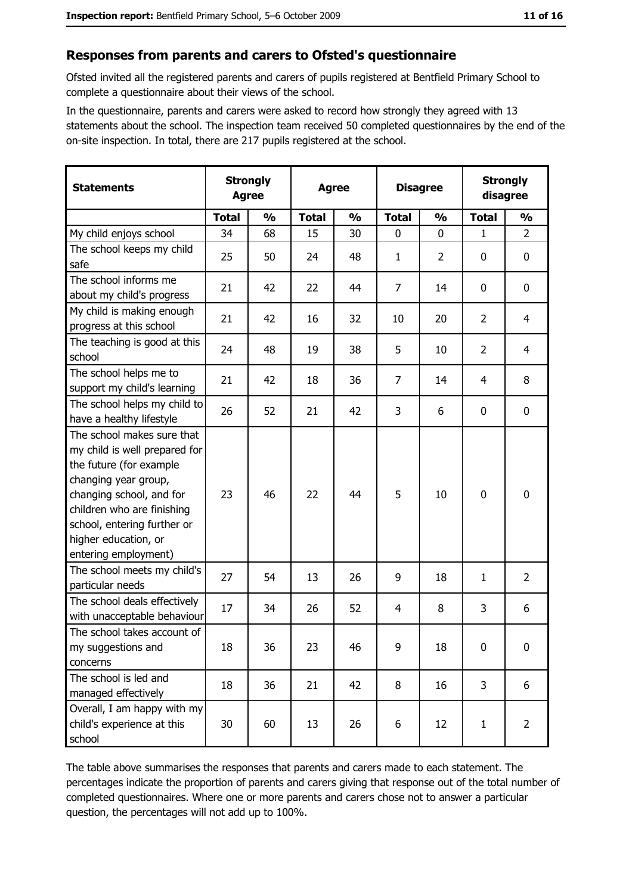#### Responses from parents and carers to Ofsted's questionnaire

Ofsted invited all the registered parents and carers of pupils registered at Bentfield Primary School to complete a questionnaire about their views of the school.

In the questionnaire, parents and carers were asked to record how strongly they agreed with 13 statements about the school. The inspection team received 50 completed questionnaires by the end of the on-site inspection. In total, there are 217 pupils registered at the school.

| <b>Statements</b>                                                                                                                                                                                                                                       | <b>Strongly</b><br><b>Agree</b><br><b>Agree</b> |               | <b>Disagree</b> |               | <b>Strongly</b><br>disagree |                |                |                |
|---------------------------------------------------------------------------------------------------------------------------------------------------------------------------------------------------------------------------------------------------------|-------------------------------------------------|---------------|-----------------|---------------|-----------------------------|----------------|----------------|----------------|
|                                                                                                                                                                                                                                                         | <b>Total</b>                                    | $\frac{1}{2}$ | <b>Total</b>    | $\frac{0}{0}$ | <b>Total</b>                | $\frac{0}{0}$  | <b>Total</b>   | $\frac{0}{0}$  |
| My child enjoys school                                                                                                                                                                                                                                  | 34                                              | 68            | 15              | 30            | $\mathbf 0$                 | 0              | 1              | $\overline{2}$ |
| The school keeps my child<br>safe                                                                                                                                                                                                                       | 25                                              | 50            | 24              | 48            | $\mathbf{1}$                | $\overline{2}$ | 0              | $\mathbf 0$    |
| The school informs me<br>about my child's progress                                                                                                                                                                                                      | 21                                              | 42            | 22              | 44            | 7                           | 14             | 0              | 0              |
| My child is making enough<br>progress at this school                                                                                                                                                                                                    | 21                                              | 42            | 16              | 32            | 10                          | 20             | $\overline{2}$ | 4              |
| The teaching is good at this<br>school                                                                                                                                                                                                                  | 24                                              | 48            | 19              | 38            | 5                           | 10             | $\overline{2}$ | 4              |
| The school helps me to<br>support my child's learning                                                                                                                                                                                                   | 21                                              | 42            | 18              | 36            | $\overline{7}$              | 14             | 4              | 8              |
| The school helps my child to<br>have a healthy lifestyle                                                                                                                                                                                                | 26                                              | 52            | 21              | 42            | 3                           | 6              | $\mathbf 0$    | $\mathbf 0$    |
| The school makes sure that<br>my child is well prepared for<br>the future (for example<br>changing year group,<br>changing school, and for<br>children who are finishing<br>school, entering further or<br>higher education, or<br>entering employment) | 23                                              | 46            | 22              | 44            | 5                           | 10             | 0              | $\mathbf 0$    |
| The school meets my child's<br>particular needs                                                                                                                                                                                                         | 27                                              | 54            | 13              | 26            | 9                           | 18             | 1              | $\overline{2}$ |
| The school deals effectively<br>with unacceptable behaviour                                                                                                                                                                                             | 17                                              | 34            | 26              | 52            | $\overline{4}$              | 8              | 3              | 6              |
| The school takes account of<br>my suggestions and<br>concerns                                                                                                                                                                                           | 18                                              | 36            | 23              | 46            | 9                           | 18             | $\mathbf 0$    | $\mathbf 0$    |
| The school is led and<br>managed effectively                                                                                                                                                                                                            | 18                                              | 36            | 21              | 42            | 8                           | 16             | 3              | 6              |
| Overall, I am happy with my<br>child's experience at this<br>school                                                                                                                                                                                     | 30                                              | 60            | 13              | 26            | 6                           | 12             | $\mathbf{1}$   | $\overline{2}$ |

The table above summarises the responses that parents and carers made to each statement. The percentages indicate the proportion of parents and carers giving that response out of the total number of completed questionnaires. Where one or more parents and carers chose not to answer a particular question, the percentages will not add up to 100%.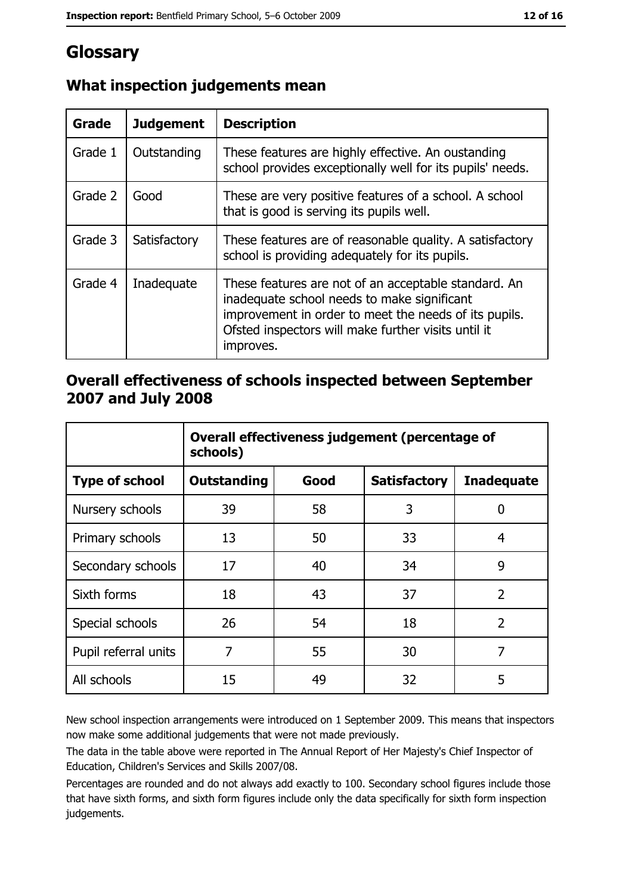# Glossary

| Grade   | <b>Judgement</b> | <b>Description</b>                                                                                                                                                                                                               |
|---------|------------------|----------------------------------------------------------------------------------------------------------------------------------------------------------------------------------------------------------------------------------|
| Grade 1 | Outstanding      | These features are highly effective. An oustanding<br>school provides exceptionally well for its pupils' needs.                                                                                                                  |
| Grade 2 | Good             | These are very positive features of a school. A school<br>that is good is serving its pupils well.                                                                                                                               |
| Grade 3 | Satisfactory     | These features are of reasonable quality. A satisfactory<br>school is providing adequately for its pupils.                                                                                                                       |
| Grade 4 | Inadequate       | These features are not of an acceptable standard. An<br>inadequate school needs to make significant<br>improvement in order to meet the needs of its pupils.<br>Ofsted inspectors will make further visits until it<br>improves. |

# What inspection judgements mean

## Overall effectiveness of schools inspected between September 2007 and July 2008

|                       | Overall effectiveness judgement (percentage of<br>schools) |      |                     |                   |
|-----------------------|------------------------------------------------------------|------|---------------------|-------------------|
| <b>Type of school</b> | <b>Outstanding</b>                                         | Good | <b>Satisfactory</b> | <b>Inadequate</b> |
| Nursery schools       | 39                                                         | 58   | 3                   | 0                 |
| Primary schools       | 13                                                         | 50   | 33                  | 4                 |
| Secondary schools     | 17                                                         | 40   | 34                  | 9                 |
| Sixth forms           | 18                                                         | 43   | 37                  | $\overline{2}$    |
| Special schools       | 26                                                         | 54   | 18                  | $\overline{2}$    |
| Pupil referral units  | 7                                                          | 55   | 30                  | 7                 |
| All schools           | 15                                                         | 49   | 32                  | 5                 |

New school inspection arrangements were introduced on 1 September 2009. This means that inspectors now make some additional judgements that were not made previously.

The data in the table above were reported in The Annual Report of Her Majesty's Chief Inspector of Education, Children's Services and Skills 2007/08.

Percentages are rounded and do not always add exactly to 100. Secondary school figures include those that have sixth forms, and sixth form figures include only the data specifically for sixth form inspection judgements.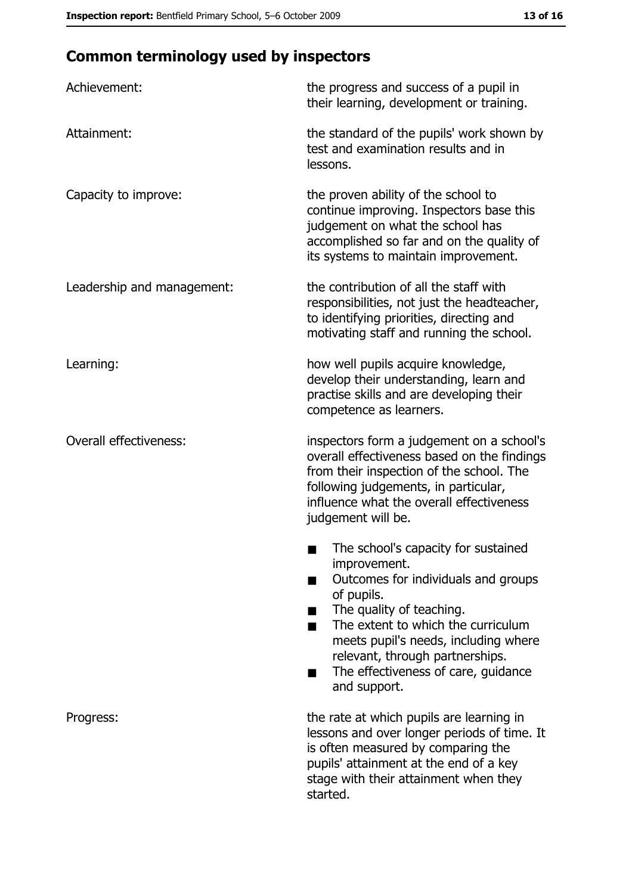# **Common terminology used by inspectors**

| Achievement:                  | the progress and success of a pupil in<br>their learning, development or training.                                                                                                                                                                                                                           |  |  |
|-------------------------------|--------------------------------------------------------------------------------------------------------------------------------------------------------------------------------------------------------------------------------------------------------------------------------------------------------------|--|--|
| Attainment:                   | the standard of the pupils' work shown by<br>test and examination results and in<br>lessons.                                                                                                                                                                                                                 |  |  |
| Capacity to improve:          | the proven ability of the school to<br>continue improving. Inspectors base this<br>judgement on what the school has<br>accomplished so far and on the quality of<br>its systems to maintain improvement.                                                                                                     |  |  |
| Leadership and management:    | the contribution of all the staff with<br>responsibilities, not just the headteacher,<br>to identifying priorities, directing and<br>motivating staff and running the school.                                                                                                                                |  |  |
| Learning:                     | how well pupils acquire knowledge,<br>develop their understanding, learn and<br>practise skills and are developing their<br>competence as learners.                                                                                                                                                          |  |  |
| <b>Overall effectiveness:</b> | inspectors form a judgement on a school's<br>overall effectiveness based on the findings<br>from their inspection of the school. The<br>following judgements, in particular,<br>influence what the overall effectiveness<br>judgement will be.                                                               |  |  |
|                               | The school's capacity for sustained<br>improvement.<br>Outcomes for individuals and groups<br>of pupils.<br>The quality of teaching.<br>The extent to which the curriculum<br>meets pupil's needs, including where<br>relevant, through partnerships.<br>The effectiveness of care, guidance<br>and support. |  |  |
| Progress:                     | the rate at which pupils are learning in<br>lessons and over longer periods of time. It<br>is often measured by comparing the<br>pupils' attainment at the end of a key<br>stage with their attainment when they<br>started.                                                                                 |  |  |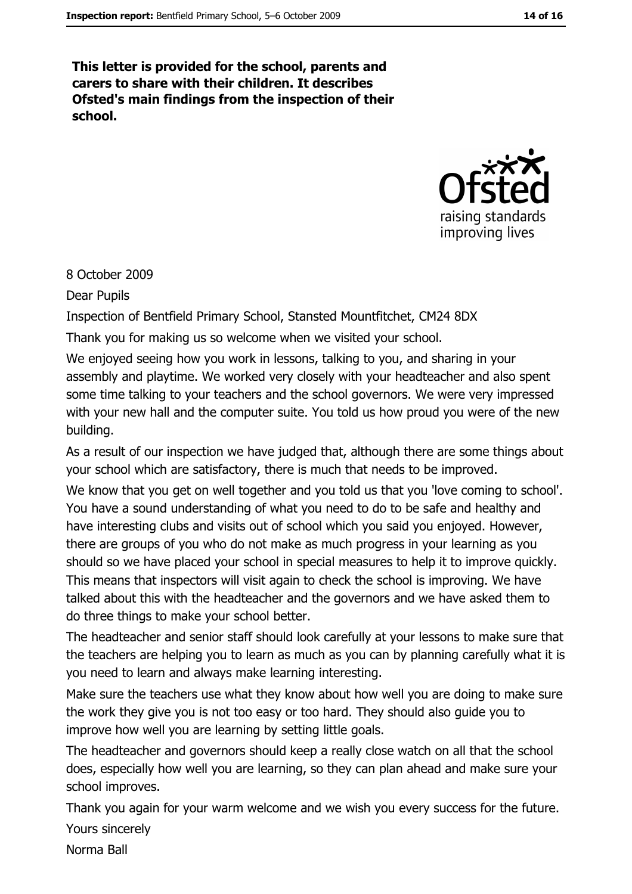This letter is provided for the school, parents and carers to share with their children. It describes Ofsted's main findings from the inspection of their school.



8 October 2009

**Dear Pupils** 

Inspection of Bentfield Primary School, Stansted Mountfitchet, CM24 8DX

Thank you for making us so welcome when we visited your school.

We enjoyed seeing how you work in lessons, talking to you, and sharing in your assembly and playtime. We worked very closely with your headteacher and also spent some time talking to your teachers and the school governors. We were very impressed with your new hall and the computer suite. You told us how proud you were of the new building.

As a result of our inspection we have judged that, although there are some things about your school which are satisfactory, there is much that needs to be improved.

We know that you get on well together and you told us that you 'love coming to school'. You have a sound understanding of what you need to do to be safe and healthy and have interesting clubs and visits out of school which you said you enjoyed. However, there are groups of you who do not make as much progress in your learning as you should so we have placed your school in special measures to help it to improve quickly. This means that inspectors will visit again to check the school is improving. We have talked about this with the headteacher and the governors and we have asked them to do three things to make your school better.

The headteacher and senior staff should look carefully at your lessons to make sure that the teachers are helping you to learn as much as you can by planning carefully what it is you need to learn and always make learning interesting.

Make sure the teachers use what they know about how well you are doing to make sure the work they give you is not too easy or too hard. They should also guide you to improve how well you are learning by setting little goals.

The headteacher and governors should keep a really close watch on all that the school does, especially how well you are learning, so they can plan ahead and make sure your school improves.

Thank you again for your warm welcome and we wish you every success for the future. Yours sincerely

Norma Ball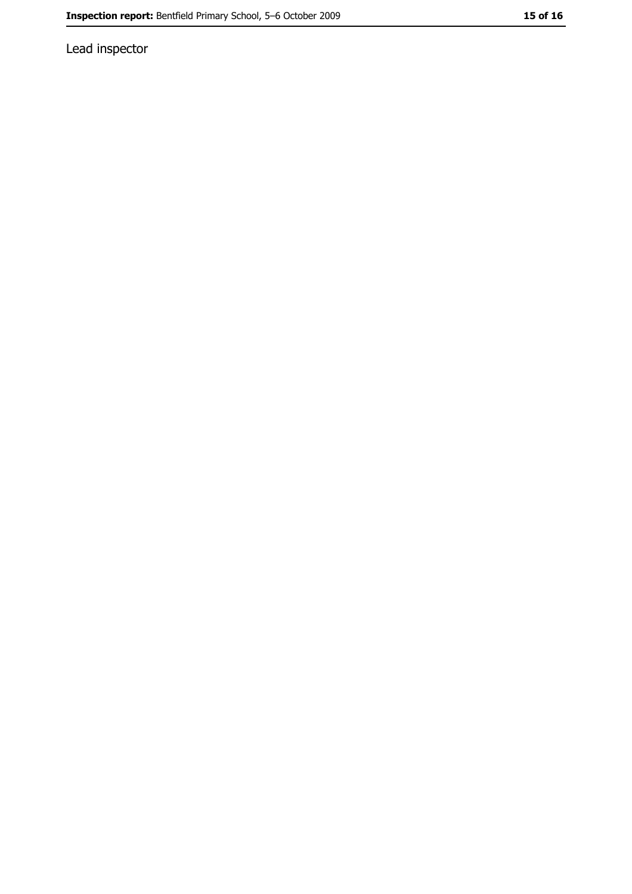Lead inspector